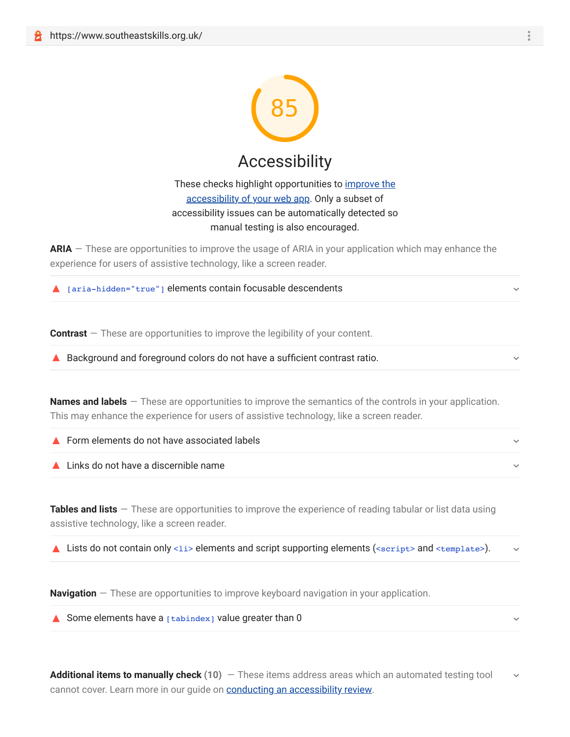

## These checks highlight opportunities to *improve the* accessibility of your web app. Only a subset of accessibility issues can be automatically detected so manual testing is also encouraged.

**ARIA** — These are opportunities to improve the usage of ARIA in your application which may enhance the experience for users of assistive technology, like a screen reader.

| $\triangle$ [aria-hidden="true"] elements contain focusable descendents |  |
|-------------------------------------------------------------------------|--|
|-------------------------------------------------------------------------|--|

**Contrast** – These are opportunities to improve the legibility of your content.

▲ Background and foreground colors do not have a sufficient contrast ratio.

**Names and labels** — These are opportunities to improve the semantics of the controls in your application. This may enhance the experience for users of assistive technology, like a screen reader.

| ▲ Form elements do not have associated labels |  |
|-----------------------------------------------|--|
| ▲ Links do not have a discernible name        |  |

**Tables and lists** — These are opportunities to improve the experience of reading tabular or list data using assistive technology, like a screen reader.

**△** Lists do not contain only <1i> elements and script supporting elements (<script> and <template>).

**Navigation** — These are opportunities to improve keyboard navigation in your application.

Some elements have a  $[tabindex]$  value greater than 0

**Additional items to manually check (10)** — These items address areas which an automated testing tool cannot cover. Learn more in our guide on **conducting an accessibility review**.